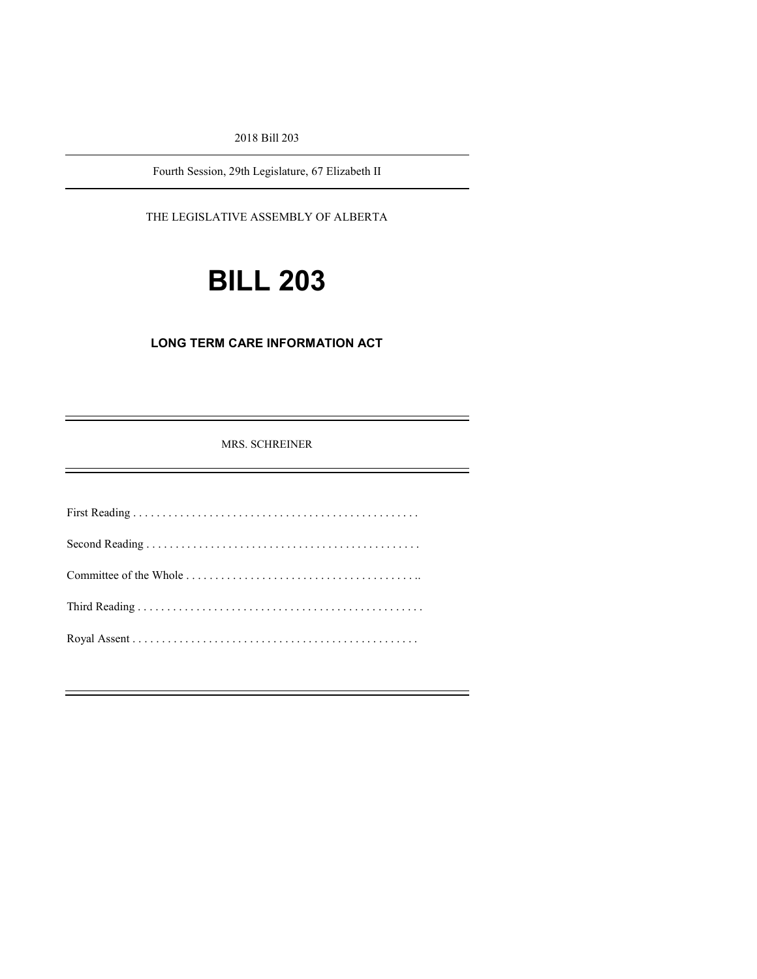2018 Bill 203

Fourth Session, 29th Legislature, 67 Elizabeth II

THE LEGISLATIVE ASSEMBLY OF ALBERTA

# **BILL 203**

#### **LONG TERM CARE INFORMATION ACT**

MRS. SCHREINER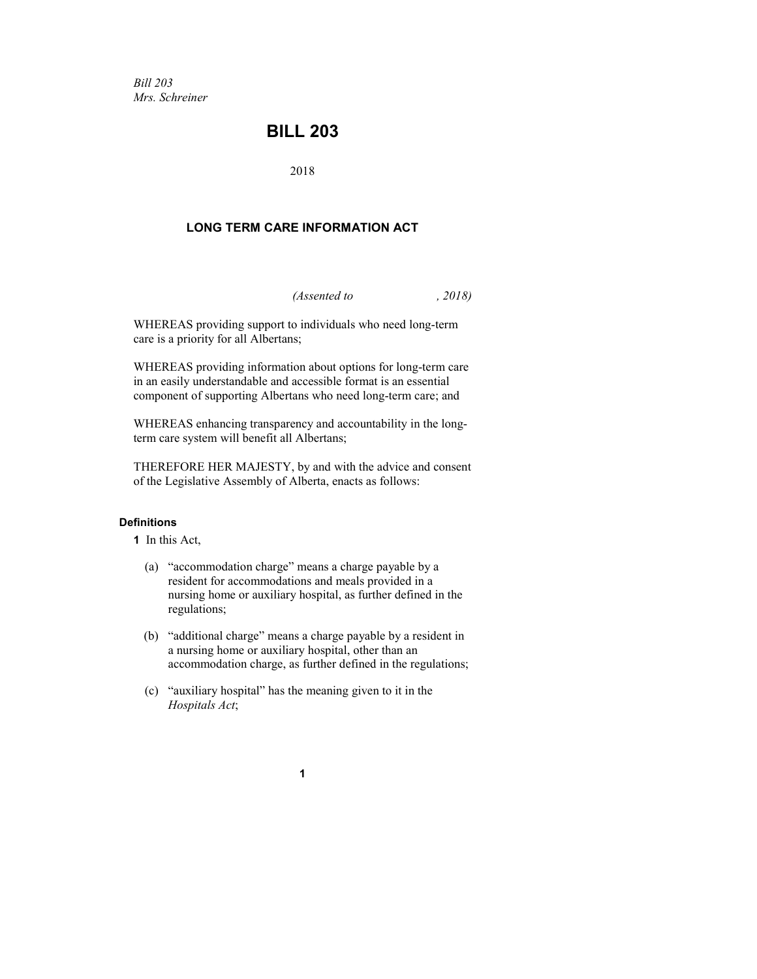*Bill 203 Mrs. Schreiner*

### **BILL 203**

2018

#### **LONG TERM CARE INFORMATION ACT**

*(Assented to , 2018)*

WHEREAS providing support to individuals who need long-term care is a priority for all Albertans;

WHEREAS providing information about options for long-term care in an easily understandable and accessible format is an essential component of supporting Albertans who need long-term care; and

WHEREAS enhancing transparency and accountability in the longterm care system will benefit all Albertans;

THEREFORE HER MAJESTY, by and with the advice and consent of the Legislative Assembly of Alberta, enacts as follows:

#### **Definitions**

**1** In this Act,

- (a) "accommodation charge" means a charge payable by a resident for accommodations and meals provided in a nursing home or auxiliary hospital, as further defined in the regulations;
- (b) "additional charge" means a charge payable by a resident in a nursing home or auxiliary hospital, other than an accommodation charge, as further defined in the regulations;
- (c) "auxiliary hospital" has the meaning given to it in the *Hospitals Act*;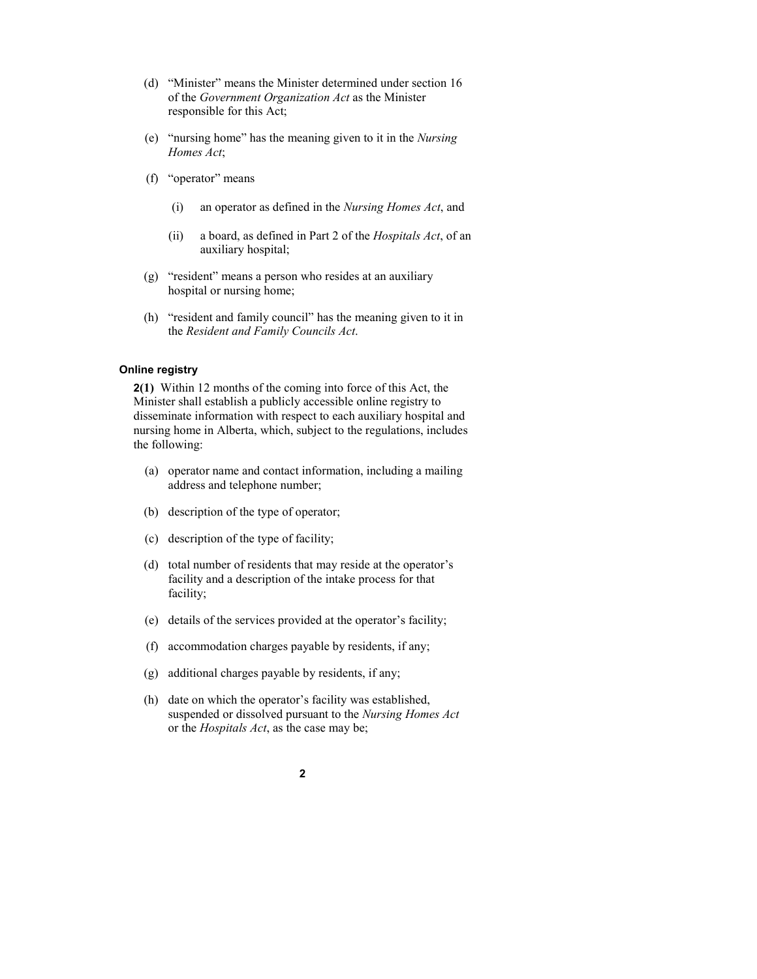- (d) "Minister" means the Minister determined under section 16 of the *Government Organization Act* as the Minister responsible for this Act;
- (e) "nursing home" has the meaning given to it in the *Nursing Homes Act*;
- (f) "operator" means
	- (i) an operator as defined in the *Nursing Homes Act*, and
	- (ii) a board, as defined in Part 2 of the *Hospitals Act*, of an auxiliary hospital;
- (g) "resident" means a person who resides at an auxiliary hospital or nursing home;
- (h) "resident and family council" has the meaning given to it in the *Resident and Family Councils Act*.

#### **Online registry**

**2(1)** Within 12 months of the coming into force of this Act, the Minister shall establish a publicly accessible online registry to disseminate information with respect to each auxiliary hospital and nursing home in Alberta, which, subject to the regulations, includes the following:

- (a) operator name and contact information, including a mailing address and telephone number;
- (b) description of the type of operator;
- (c) description of the type of facility;
- (d) total number of residents that may reside at the operator's facility and a description of the intake process for that facility;
- (e) details of the services provided at the operator's facility;
- (f) accommodation charges payable by residents, if any;
- (g) additional charges payable by residents, if any;
- (h) date on which the operator's facility was established, suspended or dissolved pursuant to the *Nursing Homes Act* or the *Hospitals Act*, as the case may be;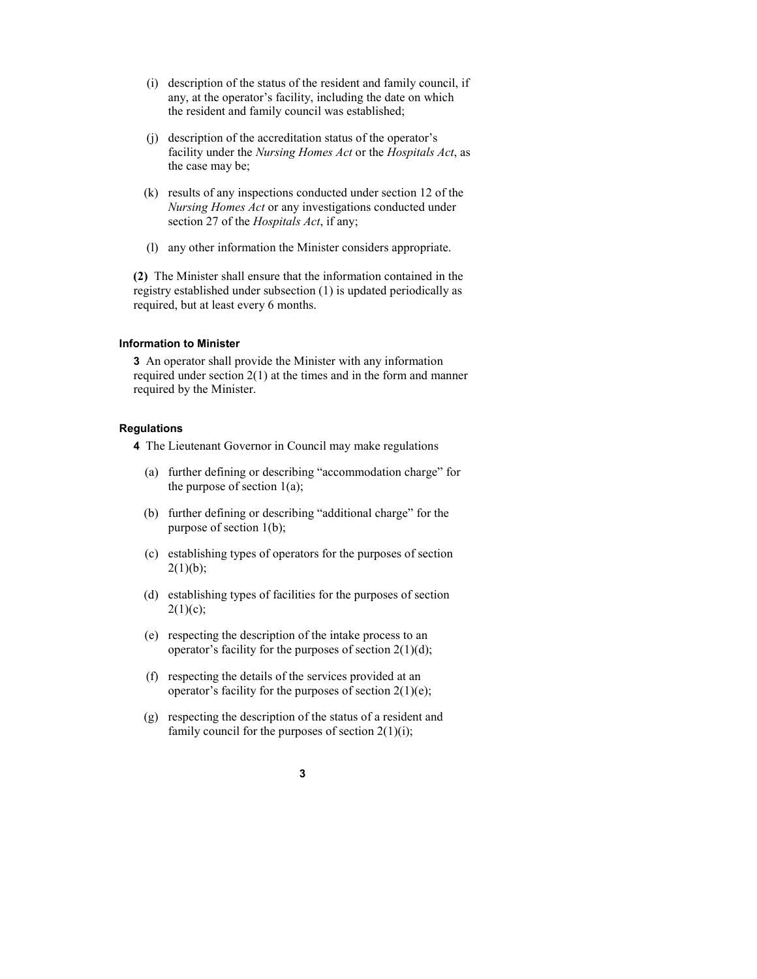- (i) description of the status of the resident and family council, if any, at the operator's facility, including the date on which the resident and family council was established;
- (j) description of the accreditation status of the operator's facility under the *Nursing Homes Act* or the *Hospitals Act*, as the case may be;
- (k) results of any inspections conducted under section 12 of the *Nursing Homes Act* or any investigations conducted under section 27 of the *Hospitals Act*, if any;
- (l) any other information the Minister considers appropriate.

**(2)** The Minister shall ensure that the information contained in the registry established under subsection (1) is updated periodically as required, but at least every 6 months.

#### **Information to Minister**

**3** An operator shall provide the Minister with any information required under section  $2(1)$  at the times and in the form and manner required by the Minister.

#### **Regulations**

**4** The Lieutenant Governor in Council may make regulations

- (a) further defining or describing "accommodation charge" for the purpose of section  $1(a)$ ;
- (b) further defining or describing "additional charge" for the purpose of section 1(b);
- (c) establishing types of operators for the purposes of section  $2(1)(b)$ ;
- (d) establishing types of facilities for the purposes of section  $2(1)(c);$
- (e) respecting the description of the intake process to an operator's facility for the purposes of section  $2(1)(d)$ ;
- (f) respecting the details of the services provided at an operator's facility for the purposes of section  $2(1)(e)$ ;
- (g) respecting the description of the status of a resident and family council for the purposes of section  $2(1)(i)$ ;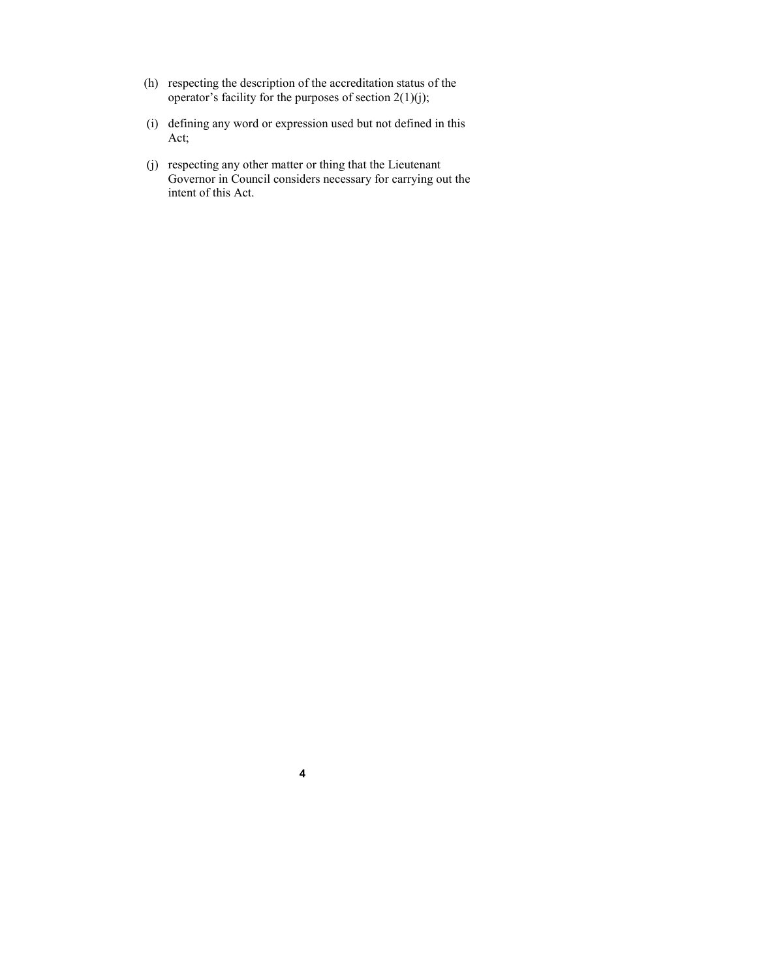- (h) respecting the description of the accreditation status of the operator's facility for the purposes of section  $2(1)(j)$ ;
- (i) defining any word or expression used but not defined in this Act;
- (j) respecting any other matter or thing that the Lieutenant Governor in Council considers necessary for carrying out the intent of this Act.